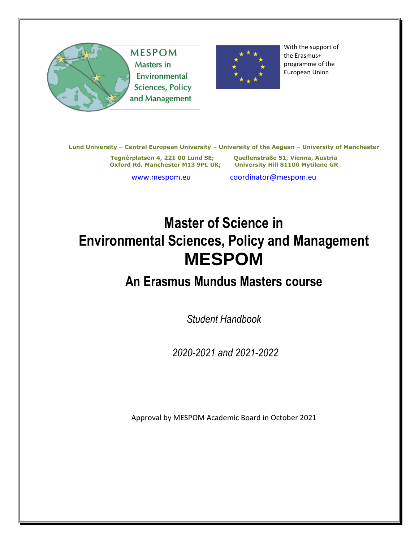



With the support of the Erasmus+ programme of the European Union

**Lund University – Central European University – University of the Aegean – University of Manchester**

**Tegnérplatsen 4, 221 00 Lund SE; Quellenstraße 51, Vienna, Austria**

**University Hill 81100 Mytilene GR** 

[www.mespom.eu](http://www.mespom.eu/) [coordinator@mespom.eu](mailto:coordinator@mespom.eu)

# **Master of Science in Environmental Sciences, Policy and Management MESPOM**

## **An Erasmus Mundus Masters course**

*Student Handbook*

*2020-2021 and 2021-2022*

Approval by MESPOM Academic Board in October 2021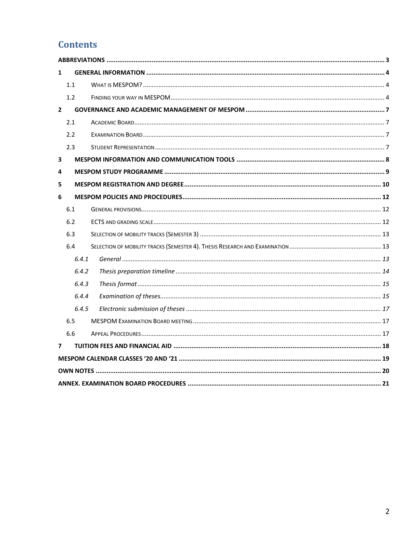### **Contents**

| $\mathbf{1}$   |       |  |
|----------------|-------|--|
|                | 1.1   |  |
|                | 1.2   |  |
| $\overline{2}$ |       |  |
|                | 2.1   |  |
|                | 2.2   |  |
|                | 2.3   |  |
| 3              |       |  |
| 4              |       |  |
| 5              |       |  |
| 6              |       |  |
|                | 6.1   |  |
|                | 6.2   |  |
|                | 6.3   |  |
|                | 6.4   |  |
|                | 6.4.1 |  |
|                | 6.4.2 |  |
|                | 6.4.3 |  |
|                | 6.4.4 |  |
|                | 6.4.5 |  |
|                | 6.5   |  |
|                | 6.6   |  |
| $\overline{ }$ |       |  |
|                |       |  |
|                |       |  |
|                |       |  |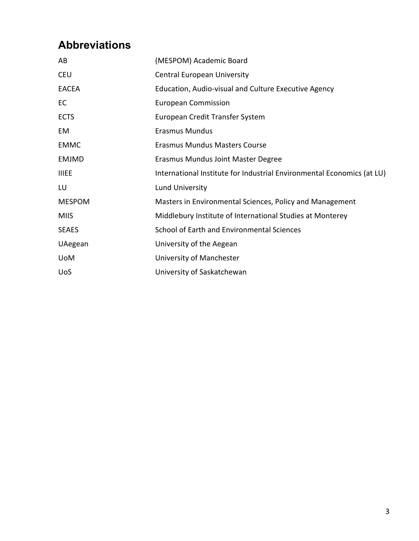## <span id="page-2-0"></span>**Abbreviations**

| AB            | (MESPOM) Academic Board                                                |
|---------------|------------------------------------------------------------------------|
| <b>CEU</b>    | <b>Central European University</b>                                     |
| <b>EACEA</b>  | Education, Audio-visual and Culture Executive Agency                   |
| EC            | <b>European Commission</b>                                             |
| <b>ECTS</b>   | European Credit Transfer System                                        |
| EM            | <b>Erasmus Mundus</b>                                                  |
| <b>EMMC</b>   | <b>Erasmus Mundus Masters Course</b>                                   |
| <b>EMJMD</b>  | Erasmus Mundus Joint Master Degree                                     |
| <b>IIIEE</b>  | International Institute for Industrial Environmental Economics (at LU) |
| LU            | <b>Lund University</b>                                                 |
| <b>MESPOM</b> | Masters in Environmental Sciences, Policy and Management               |
| <b>MIIS</b>   | Middlebury Institute of International Studies at Monterey              |
| <b>SEAES</b>  | School of Earth and Environmental Sciences                             |
| UAegean       | University of the Aegean                                               |
| <b>UoM</b>    | University of Manchester                                               |
| <b>UoS</b>    | University of Saskatchewan                                             |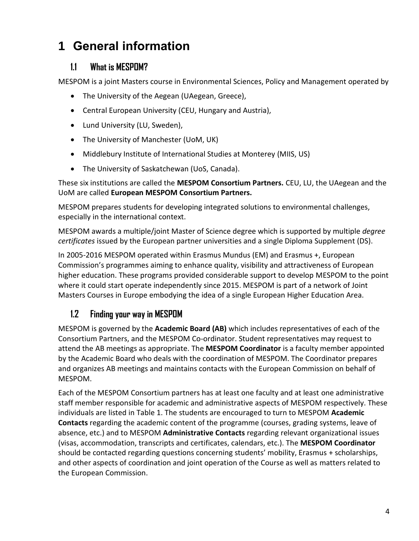## <span id="page-3-0"></span>**1 General information**

### <span id="page-3-1"></span>**1.1 What is MESPOM?**

MESPOM is a joint Masters course in Environmental Sciences, Policy and Management operated by

- The University of the Aegean (UAegean, Greece),
- Central European University (CEU, Hungary and Austria),
- Lund University (LU, Sweden),
- The University of Manchester (UoM, UK)
- Middlebury Institute of International Studies at Monterey (MIIS, US)
- The University of Saskatchewan (UoS, Canada).

These six institutions are called the **MESPOM Consortium Partners.** CEU, LU, the UAegean and the UoM are called **European MESPOM Consortium Partners.**

MESPOM prepares students for developing integrated solutions to environmental challenges, especially in the international context.

MESPOM awards a multiple/joint Master of Science degree which is supported by multiple *degree certificates* issued by the European partner universities and a single Diploma Supplement (DS).

In 2005-2016 MESPOM operated within Erasmus Mundus (EM) and Erasmus +, European Commission's programmes aiming to enhance quality, visibility and attractiveness of European higher education. These programs provided considerable support to develop MESPOM to the point where it could start operate independently since 2015. MESPOM is part of a network of Joint Masters Courses in Europe embodying the idea of a single European Higher Education Area.

### <span id="page-3-2"></span>**1.2 Finding your way in MESPOM**

MESPOM is governed by the **Academic Board (AB)** which includes representatives of each of the Consortium Partners, and the MESPOM Co-ordinator. Student representatives may request to attend the AB meetings as appropriate. The **MESPOM Coordinator** is a faculty member appointed by the Academic Board who deals with the coordination of MESPOM. The Coordinator prepares and organizes AB meetings and maintains contacts with the European Commission on behalf of MESPOM.

Each of the MESPOM Consortium partners has at least one faculty and at least one administrative staff member responsible for academic and administrative aspects of MESPOM respectively. These individuals are listed in [Table 1.](#page-4-0) The students are encouraged to turn to MESPOM **Academic Contacts** regarding the academic content of the programme (courses, grading systems, leave of absence, etc.) and to MESPOM **Administrative Contacts** regarding relevant organizational issues (visas, accommodation, transcripts and certificates, calendars, etc.). The **MESPOM Coordinator**  should be contacted regarding questions concerning students' mobility, Erasmus + scholarships, and other aspects of coordination and joint operation of the Course as well as matters related to the European Commission.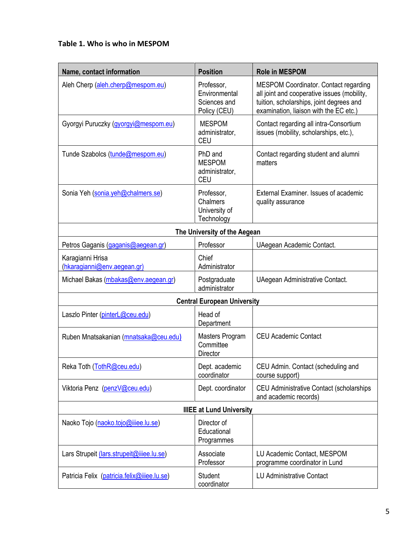#### <span id="page-4-0"></span>**Table 1. Who is who in MESPOM**

| Name, contact information                       | <b>Position</b>                                             | <b>Role in MESPOM</b>                                                                                                                                                             |  |  |  |
|-------------------------------------------------|-------------------------------------------------------------|-----------------------------------------------------------------------------------------------------------------------------------------------------------------------------------|--|--|--|
| Aleh Cherp (aleh.cherp@mespom.eu)               | Professor,<br>Environmental<br>Sciences and<br>Policy (CEU) | <b>MESPOM Coordinator. Contact regarding</b><br>all joint and cooperative issues (mobility,<br>tuition, scholarships, joint degrees and<br>examination, liaison with the EC etc.) |  |  |  |
| Gyorgyi Puruczky (gyorgyi@mespom.eu)            | <b>MESPOM</b><br>administrator,<br><b>CEU</b>               | Contact regarding all intra-Consortium<br>issues (mobility, scholarships, etc.),                                                                                                  |  |  |  |
| Tunde Szabolcs (tunde@mespom.eu)                | PhD and<br><b>MESPOM</b><br>administrator,<br><b>CEU</b>    | Contact regarding student and alumni<br>matters                                                                                                                                   |  |  |  |
| Sonia Yeh (sonia.yeh@chalmers.se)               | Professor,<br>Chalmers<br>University of<br>Technology       | External Examiner. Issues of academic<br>quality assurance                                                                                                                        |  |  |  |
|                                                 | The University of the Aegean                                |                                                                                                                                                                                   |  |  |  |
| Petros Gaganis (gaganis@aegean.gr)              | Professor                                                   | UAegean Academic Contact.                                                                                                                                                         |  |  |  |
| Karagianni Hrisa<br>(hkaragianni@env.aegean.gr) | Chief<br>Administrator                                      |                                                                                                                                                                                   |  |  |  |
| Michael Bakas (mbakas@env.aegean.gr)            | Postgraduate<br>administrator                               | UAegean Administrative Contact.                                                                                                                                                   |  |  |  |
| <b>Central European University</b>              |                                                             |                                                                                                                                                                                   |  |  |  |
| Laszlo Pinter (pinterL@ceu.edu)                 | Head of<br>Department                                       |                                                                                                                                                                                   |  |  |  |
| Ruben Mnatsakanian (mnatsaka@ceu.edu)           | Masters Program<br>Committee<br>Director                    | <b>CEU Academic Contact</b>                                                                                                                                                       |  |  |  |
| Reka Toth (TothR@ceu.edu)                       | Dept. academic<br>coordinator                               | CEU Admin. Contact (scheduling and<br>course support)                                                                                                                             |  |  |  |
| Viktoria Penz (penzV@ceu.edu)                   | Dept. coordinator                                           | CEU Administrative Contact (scholarships<br>and academic records)                                                                                                                 |  |  |  |
| <b>IIIEE at Lund University</b>                 |                                                             |                                                                                                                                                                                   |  |  |  |
| Naoko Tojo (naoko.tojo@iiiee.lu.se)             | Director of<br>Educational<br>Programmes                    |                                                                                                                                                                                   |  |  |  |
| Lars Strupeit (lars.strupeit@iiiee.lu.se)       | Associate<br>Professor                                      | LU Academic Contact, MESPOM<br>programme coordinator in Lund                                                                                                                      |  |  |  |
| Patricia Felix (patricia.felix@iiiee.lu.se)     | Student<br>coordinator                                      | <b>LU Administrative Contact</b>                                                                                                                                                  |  |  |  |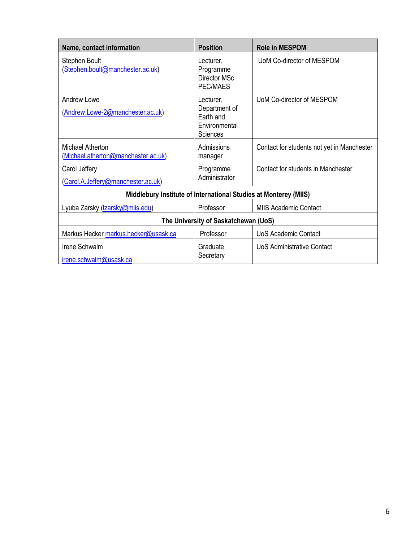| Name, contact information                                        | <b>Position</b>                                                             | <b>Role in MESPOM</b>                      |  |  |
|------------------------------------------------------------------|-----------------------------------------------------------------------------|--------------------------------------------|--|--|
| Stephen Boult<br>(Stephen.boult@manchester.ac.uk)                | Lecturer,<br>Programme<br>Director MSc<br>PEC/MAES                          | UoM Co-director of MESPOM                  |  |  |
| Andrew Lowe<br>(Andrew.Lowe-2@manchester.ac.uk)                  | Lecturer,<br>Department of<br>Earth and<br>Environmental<br><b>Sciences</b> | UoM Co-director of MESPOM                  |  |  |
| Michael Atherton<br>(Michael.atherton@manchester.ac.uk)          | Admissions<br>manager                                                       | Contact for students not yet in Manchester |  |  |
| Carol Jeffery<br>(Carol.A.Jeffery@manchester.ac.uk)              | Programme<br>Administrator                                                  | Contact for students in Manchester         |  |  |
| Middlebury Institute of International Studies at Monterey (MIIS) |                                                                             |                                            |  |  |
| Lyuba Zarsky (Izarsky@miis.edu)                                  | Professor                                                                   | <b>MIIS Academic Contact</b>               |  |  |
| The University of Saskatchewan (UoS)                             |                                                                             |                                            |  |  |
| Markus Hecker markus.hecker@usask.ca                             | Professor                                                                   | <b>UoS Academic Contact</b>                |  |  |
| Irene Schwalm<br>irene.schwalm@usask.ca                          | Graduate<br>Secretary                                                       | UoS Administrative Contact                 |  |  |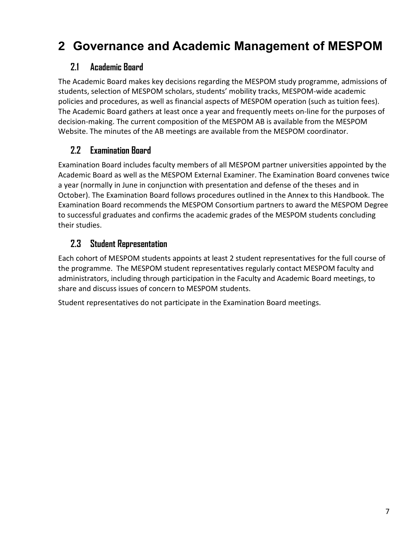## <span id="page-6-0"></span>**2 Governance and Academic Management of MESPOM**

#### <span id="page-6-1"></span>**2.1 Academic Board**

The Academic Board makes key decisions regarding the MESPOM study programme, admissions of students, selection of MESPOM scholars, students' mobility tracks, MESPOM-wide academic policies and procedures, as well as financial aspects of MESPOM operation (such as tuition fees). The Academic Board gathers at least once a year and frequently meets on-line for the purposes of decision-making. The current composition of the MESPOM AB is available from the MESPOM Website. The minutes of the AB meetings are available from the MESPOM coordinator.

### <span id="page-6-2"></span>**2.2 Examination Board**

Examination Board includes faculty members of all MESPOM partner universities appointed by the Academic Board as well as the MESPOM External Examiner. The Examination Board convenes twice a year (normally in June in conjunction with presentation and defense of the theses and in October). The Examination Board follows procedures outlined in the Annex to this Handbook. The Examination Board recommends the MESPOM Consortium partners to award the MESPOM Degree to successful graduates and confirms the academic grades of the MESPOM students concluding their studies.

### <span id="page-6-3"></span>**2.3 Student Representation**

Each cohort of MESPOM students appoints at least 2 student representatives for the full course of the programme. The MESPOM student representatives regularly contact MESPOM faculty and administrators, including through participation in the Faculty and Academic Board meetings, to share and discuss issues of concern to MESPOM students.

Student representatives do not participate in the Examination Board meetings.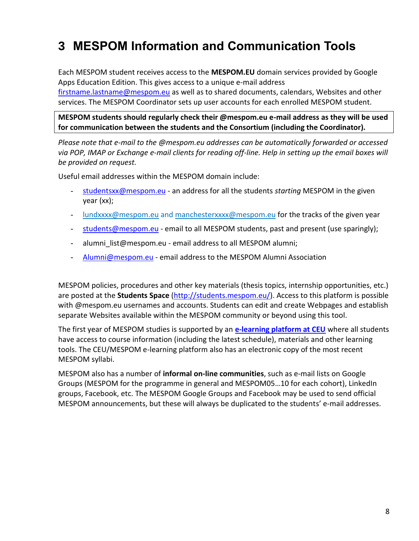## <span id="page-7-0"></span>**3 MESPOM Information and Communication Tools**

Each MESPOM student receives access to the **MESPOM.EU** domain services provided by Google Apps Education Edition. This gives access to a unique e-mail address

[firstname.lastname@mespom.eu](mailto:firstname.lastname@mespom.eu) as well as to shared documents, calendars, Websites and other services. The MESPOM Coordinator sets up user accounts for each enrolled MESPOM student.

**MESPOM students should regularly check their @mespom.eu e-mail address as they will be used for communication between the students and the Consortium (including the Coordinator).**

*Please note that e-mail to the @mespom.eu addresses can be automatically forwarded or accessed via POP, IMAP or Exchange e-mail clients for reading off-line. Help in setting up the email boxes will be provided on request.*

Useful email addresses within the MESPOM domain include:

- [studentsxx@mespom.eu](mailto:studentsxx@mespom.eu) an address for all the students *starting* MESPOM in the given year (xx);
- [lundxxxx@mespom.eu](mailto:lundxxxx@mespom.eu) and [manchesterxxxx@mespom.eu](mailto:manchesterxxxx@mespom.eu) for the tracks of the given year
- [students@mespom.eu](mailto:students@mespom.eu) email to all MESPOM students, past and present (use sparingly);
- alumni list@mespom.eu email address to all MESPOM alumni;
- [Alumni@mespom.eu](mailto:Alumni@mespom.eu) email address to the MESPOM Alumni Association

MESPOM policies, procedures and other key materials (thesis topics, internship opportunities, etc.) are posted at the **Students Space** [\(http://students.mespom.eu/\)](http://students.mespom.eu/). Access to this platform is possible with @mespom.eu usernames and accounts. Students can edit and create Webpages and establish separate Websites available within the MESPOM community or beyond using this tool.

The first year of MESPOM studies is supported by an **[e-learning platform at CEU](http://ceulearning.ceu.hu/course/index.php?categoryid=221)** where all students have access to course information (including the latest schedule), materials and other learning tools. The CEU/MESPOM e-learning platform also has an electronic copy of the most recent MESPOM syllabi.

MESPOM also has a number of **informal on-line communities**, such as e-mail lists on Google Groups (MESPOM for the programme in general and MESPOM05…10 for each cohort), LinkedIn groups, Facebook, etc. The MESPOM Google Groups and Facebook may be used to send official MESPOM announcements, but these will always be duplicated to the students' e-mail addresses.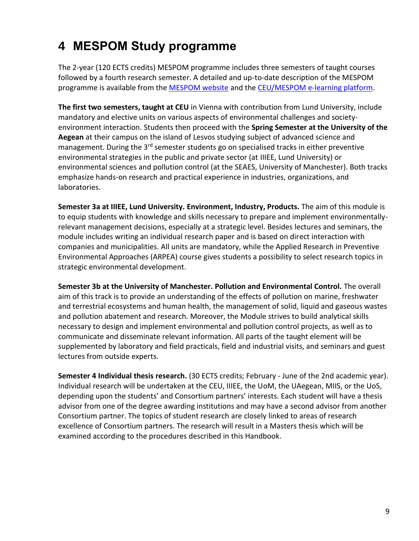## <span id="page-8-0"></span>**4 MESPOM Study programme**

The 2-year (120 ECTS credits) MESPOM programme includes three semesters of taught courses followed by a fourth research semester. A detailed and up-to-date description of the MESPOM programme is available from the [MESPOM](https://mespom.eu/) website and th[e CEU/MESPOM e-learning platform.](https://ceulearning.ceu.edu/course/index.php?categoryid=221)

**The [first two semesters,](http://www.mespom.org/prod/iiiee/mespom/site.nsf/wwwpages/D6FCCF22B4B1D800C1256F9D004098AB/$File/MESPOM%20Semesters%201-2%20_2005-06_%20for%20Web.pdf) taught at [CEU](http://www.ceu.hu/envsci/)** in Vienna with contribution from Lund University, include mandatory and elective units on various aspects of environmental challenges and societyenvironment interaction. Students then proceed with the **Spring Semester at the University of the Aegean** at their campus on the island of Lesvos studying subject of advanced science and management. During the 3<sup>rd</sup> semester students go on specialised tracks in either preventive environmental strategies in the public and private sector (at [IIIEE,](http://www.iiiee.lu.se/) Lund University) or environmental sciences and pollution control (at the [SEAES,](http://www.seaes.manchester.ac.uk/) [University of Manchester\)](http://manchester.ac.uk/). Both tracks emphasize hands-on research and practical experience in industries, organizations, and laboratories.

**Semester 3a at IIIEE, Lund University. Environment, Industry, Products.** The aim of this module is to equip students with knowledge and skills necessary to prepare and implement environmentallyrelevant management decisions, especially at a strategic level. Besides lectures and seminars, the module includes writing an individual research paper and is based on direct interaction with companies and municipalities. All units are mandatory, while the Applied Research in Preventive Environmental Approaches (ARPEA) course gives students a possibility to select research topics in strategic environmental development.

**Semester 3b at the University of Manchester. Pollution and Environmental Control.** The overall aim of this track is to provide an understanding of the effects of pollution on marine, freshwater and terrestrial ecosystems and human health, the management of solid, liquid and gaseous wastes and pollution abatement and research. Moreover, the Module strives to build analytical skills necessary to design and implement environmental and pollution control projects, as well as to communicate and disseminate relevant information. All parts of the taught element will be supplemented by laboratory and field practicals, field and industrial visits, and seminars and guest lectures from outside experts.

**Semester 4 Individual thesis research.** (30 ECTS credits; February - June of the 2nd academic year). Individual research will be undertaken at the CEU, IIIEE, the UoM, the UAegean, MIIS, or the UoS, depending upon the students' and Consortium partners' interests. Each student will have a thesis advisor from one of the degree awarding institutions and may have a second advisor from another Consortium partner. The topics of student research are closely linked to areas of research excellence of Consortium partners. The research will result in a Masters thesis which will be examined according to the procedures described in this Handbook.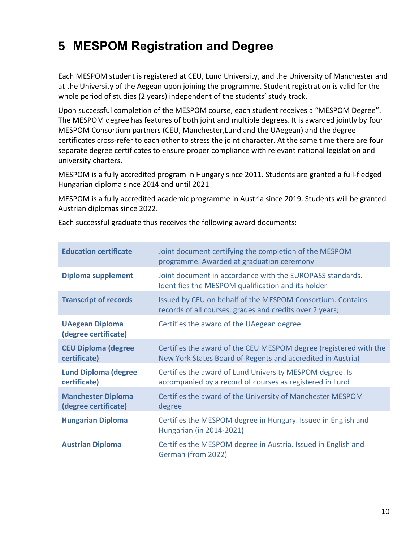## <span id="page-9-0"></span>**5 MESPOM Registration and Degree**

Each MESPOM student is registered at CEU, Lund University, and the University of Manchester and at the University of the Aegean upon joining the programme. Student registration is valid for the whole period of studies (2 years) independent of the students' study track.

Upon successful completion of the MESPOM course, each student receives a "MESPOM Degree". The MESPOM degree has features of both joint and multiple degrees. It is awarded jointly by four MESPOM Consortium partners (CEU, Manchester,Lund and the UAegean) and the degree certificates cross-refer to each other to stress the joint character. At the same time there are four separate degree certificates to ensure proper compliance with relevant national legislation and university charters.

MESPOM is a fully accredited program in Hungary since 2011. Students are granted a full-fledged Hungarian diploma since 2014 and until 2021

MESPOM is a fully accredited academic programme in Austria since 2019. Students will be granted Austrian diplomas since 2022.

Each successful graduate thus receives the following award documents:

| <b>Education certificate</b>                      | Joint document certifying the completion of the MESPOM<br>programme. Awarded at graduation ceremony                              |
|---------------------------------------------------|----------------------------------------------------------------------------------------------------------------------------------|
| <b>Diploma supplement</b>                         | Joint document in accordance with the EUROPASS standards.<br>Identifies the MESPOM qualification and its holder                  |
| <b>Transcript of records</b>                      | Issued by CEU on behalf of the MESPOM Consortium. Contains<br>records of all courses, grades and credits over 2 years;           |
| <b>UAegean Diploma</b><br>(degree certificate)    | Certifies the award of the UAegean degree                                                                                        |
| <b>CEU Diploma (degree</b><br>certificate)        | Certifies the award of the CEU MESPOM degree (registered with the<br>New York States Board of Regents and accredited in Austria) |
| <b>Lund Diploma (degree</b><br>certificate)       | Certifies the award of Lund University MESPOM degree. Is<br>accompanied by a record of courses as registered in Lund             |
| <b>Manchester Diploma</b><br>(degree certificate) | Certifies the award of the University of Manchester MESPOM<br>degree                                                             |
| <b>Hungarian Diploma</b>                          | Certifies the MESPOM degree in Hungary. Issued in English and<br>Hungarian (in 2014-2021)                                        |
| <b>Austrian Diploma</b>                           | Certifies the MESPOM degree in Austria. Issued in English and<br>German (from 2022)                                              |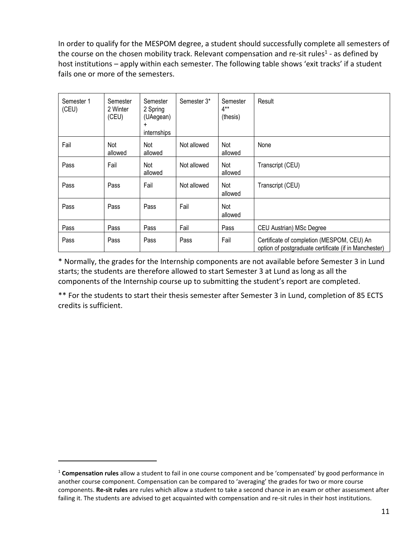In order to qualify for the MESPOM degree, a student should successfully complete all semesters of the course on the chosen mobility track. Relevant compensation and re-sit rules<sup>1</sup> - as defined by host institutions – apply within each semester. The following table shows 'exit tracks' if a student fails one or more of the semesters.

| Semester 1<br>(CEU) | Semester<br>2 Winter<br>(CEU) | Semester<br>2 Spring<br>(UAegean)<br>$\ddot{}$<br>internships | Semester 3* | Semester<br>$4**$<br>(thesis) | Result                                                                                              |
|---------------------|-------------------------------|---------------------------------------------------------------|-------------|-------------------------------|-----------------------------------------------------------------------------------------------------|
| Fail                | Not<br>allowed                | Not<br>allowed                                                | Not allowed | Not<br>allowed                | None                                                                                                |
| Pass                | Fail                          | Not<br>allowed                                                | Not allowed | Not<br>allowed                | Transcript (CEU)                                                                                    |
| Pass                | Pass                          | Fail                                                          | Not allowed | Not<br>allowed                | Transcript (CEU)                                                                                    |
| Pass                | Pass                          | Pass                                                          | Fail        | Not<br>allowed                |                                                                                                     |
| Pass                | Pass                          | Pass                                                          | Fail        | Pass                          | CEU Austrian) MSc Degree                                                                            |
| Pass                | Pass                          | Pass                                                          | Pass        | Fail                          | Certificate of completion (MESPOM, CEU) An<br>option of postgraduate certificate (if in Manchester) |

\* Normally, the grades for the Internship components are not available before Semester 3 in Lund starts; the students are therefore allowed to start Semester 3 at Lund as long as all the components of the Internship course up to submitting the student's report are completed.

\*\* For the students to start their thesis semester after Semester 3 in Lund, completion of 85 ECTS credits is sufficient.

<sup>1</sup> **Compensation rules** allow a student to fail in one course component and be 'compensated' by good performance in another course component. Compensation can be compared to 'averaging' the grades for two or more course components. **Re-sit rules** are rules which allow a student to take a second chance in an exam or other assessment after failing it. The students are advised to get acquainted with compensation and re-sit rules in their host institutions.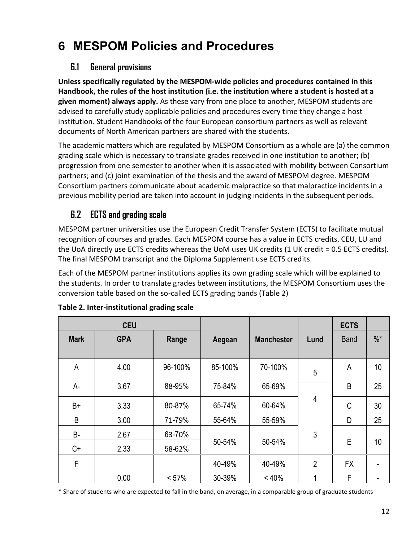## <span id="page-11-0"></span>**6 MESPOM Policies and Procedures**

#### <span id="page-11-1"></span>**6.1 General provisions**

**Unless specifically regulated by the MESPOM-wide policies and procedures contained in this Handbook, the rules of the host institution (i.e. the institution where a student is hosted at a given moment) always apply.** As these vary from one place to another, MESPOM students are advised to carefully study applicable policies and procedures every time they change a host institution. Student Handbooks of the four European consortium partners as well as relevant documents of North American partners are shared with the students.

The academic matters which are regulated by MESPOM Consortium as a whole are (a) the common grading scale which is necessary to translate grades received in one institution to another; (b) progression from one semester to another when it is associated with mobility between Consortium partners; and (c) joint examination of the thesis and the award of MESPOM degree. MESPOM Consortium partners communicate about academic malpractice so that malpractice incidents in a previous mobility period are taken into account in judging incidents in the subsequent periods.

### <span id="page-11-2"></span>**6.2 ECTS and grading scale**

MESPOM partner universities use the European Credit Transfer System (ECTS) to facilitate mutual recognition of courses and grades. Each MESPOM course has a value in ECTS credits. CEU, LU and the UoA directly use ECTS credits whereas the UoM uses UK credits (1 UK credit = 0.5 ECTS credits). The final MESPOM transcript and the Diploma Supplement use ECTS credits.

Each of the MESPOM partner institutions applies its own grading scale which will be explained to the students. In order to translate grades between institutions, the MESPOM Consortium uses the conversion table based on the so-called ECTS grading bands [\(Table 2\)](#page-11-3)

|             | <b>CEU</b>          |         |         |                   |                | <b>ECTS</b> |                 |
|-------------|---------------------|---------|---------|-------------------|----------------|-------------|-----------------|
| <b>Mark</b> | <b>GPA</b><br>Range |         | Aegean  | <b>Manchester</b> | Lund           | <b>Band</b> | $\frac{0}{6}$ * |
| A           | 4.00                | 96-100% | 85-100% | 70-100%           | 5              | A           | 10              |
| A-          | 3.67                | 88-95%  | 75-84%  | 65-69%            |                | B           | 25              |
| B+          | 3.33                | 80-87%  | 65-74%  | 60-64%            | 4              | C           | 30              |
| B           | 3.00                | 71-79%  | 55-64%  | 55-59%            |                | D           | 25              |
| B-          | 2.67                | 63-70%  |         |                   | 3              |             |                 |
| C+          | 2.33                | 58-62%  | 50-54%  | 50-54%            |                | E           | 10              |
| F           |                     |         | 40-49%  | 40-49%            | $\overline{2}$ | <b>FX</b>   |                 |
|             | 0.00                | < 57%   | 30-39%  | < 40%             | 1              | F           |                 |

<span id="page-11-3"></span>**Table 2. Inter-institutional grading scale**

\* Share of students who are expected to fall in the band, on average, in a comparable group of graduate students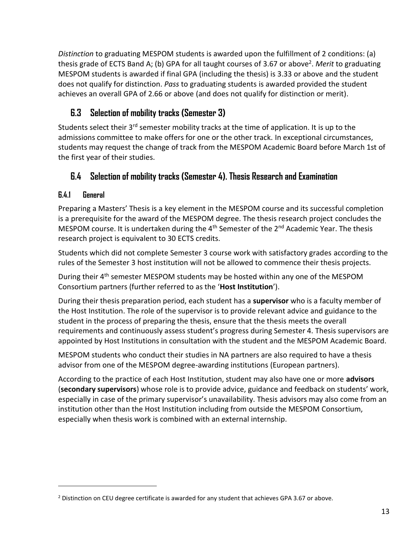*Distinction* to graduating MESPOM students is awarded upon the fulfillment of 2 conditions: (a) thesis grade of ECTS Band A; (b) GPA for all taught courses of 3.67 or above<sup>2</sup>. Merit to graduating MESPOM students is awarded if final GPA (including the thesis) is 3.33 or above and the student does not qualify for distinction. *Pass* to graduating students is awarded provided the student achieves an overall GPA of 2.66 or above (and does not qualify for distinction or merit).

### <span id="page-12-0"></span>**6.3 Selection of mobility tracks (Semester 3)**

Students select their  $3^{rd}$  semester mobility tracks at the time of application. It is up to the admissions committee to make offers for one or the other track. In exceptional circumstances, students may request the change of track from the MESPOM Academic Board before March 1st of the first year of their studies.

### <span id="page-12-1"></span>**6.4 Selection of mobility tracks (Semester 4). Thesis Research and Examination**

#### <span id="page-12-2"></span>**6.4.1 General**

Preparing a Masters' Thesis is a key element in the MESPOM course and its successful completion is a prerequisite for the award of the MESPOM degree. The thesis research project concludes the MESPOM course. It is undertaken during the  $4<sup>th</sup>$  Semester of the  $2<sup>nd</sup>$  Academic Year. The thesis research project is equivalent to 30 ECTS credits.

Students which did not complete Semester 3 course work with satisfactory grades according to the rules of the Semester 3 host institution will not be allowed to commence their thesis projects.

During their 4<sup>th</sup> semester MESPOM students may be hosted within any one of the MESPOM Consortium partners (further referred to as the '**Host Institution**').

During their thesis preparation period, each student has a **supervisor** who is a faculty member of the Host Institution. The role of the supervisor is to provide relevant advice and guidance to the student in the process of preparing the thesis, ensure that the thesis meets the overall requirements and continuously assess student's progress during Semester 4. Thesis supervisors are appointed by Host Institutions in consultation with the student and the MESPOM Academic Board.

MESPOM students who conduct their studies in NA partners are also required to have a thesis advisor from one of the MESPOM degree-awarding institutions (European partners).

According to the practice of each Host Institution, student may also have one or more **advisors** (**secondary supervisors**) whose role is to provide advice, guidance and feedback on students' work, especially in case of the primary supervisor's unavailability. Thesis advisors may also come from an institution other than the Host Institution including from outside the MESPOM Consortium, especially when thesis work is combined with an external internship.

<sup>&</sup>lt;sup>2</sup> Distinction on CEU degree certificate is awarded for any student that achieves GPA 3.67 or above.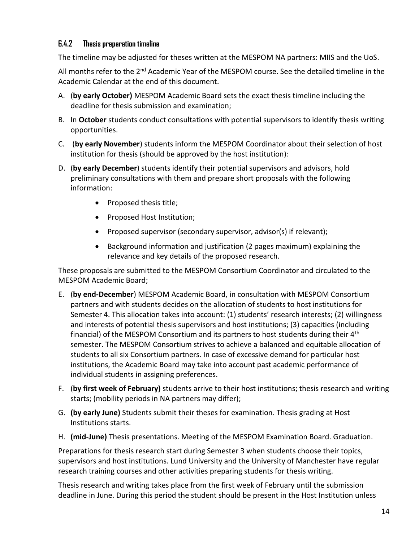#### <span id="page-13-0"></span>**6.4.2 Thesis preparation timeline**

The timeline may be adjusted for theses written at the MESPOM NA partners: MIIS and the UoS.

All months refer to the 2<sup>nd</sup> Academic Year of the MESPOM course. See the detailed timeline in the Academic Calendar at the end of this document.

- A. (**by early October)** MESPOM Academic Board sets the exact thesis timeline including the deadline for thesis submission and examination;
- B. In **October** students conduct consultations with potential supervisors to identify thesis writing opportunities.
- C. (**by early November**) students inform the MESPOM Coordinator about their selection of host institution for thesis (should be approved by the host institution):
- D. (**by early December**) students identify their potential supervisors and advisors, hold preliminary consultations with them and prepare short proposals with the following information:
	- Proposed thesis title;
	- Proposed Host Institution;
	- Proposed supervisor (secondary supervisor, advisor(s) if relevant);
	- Background information and justification (2 pages maximum) explaining the relevance and key details of the proposed research.

These proposals are submitted to the MESPOM Consortium Coordinator and circulated to the MESPOM Academic Board;

- E. (**by end-December**) MESPOM Academic Board, in consultation with MESPOM Consortium partners and with students decides on the allocation of students to host institutions for Semester 4. This allocation takes into account: (1) students' research interests; (2) willingness and interests of potential thesis supervisors and host institutions; (3) capacities (including financial) of the MESPOM Consortium and its partners to host students during their 4<sup>th</sup> semester. The MESPOM Consortium strives to achieve a balanced and equitable allocation of students to all six Consortium partners. In case of excessive demand for particular host institutions, the Academic Board may take into account past academic performance of individual students in assigning preferences.
- F. (**by first week of February)** students arrive to their host institutions; thesis research and writing starts; (mobility periods in NA partners may differ);
- G. **(by early June)** Students submit their theses for examination. Thesis grading at Host Institutions starts.
- H. **(mid-June)** Thesis presentations. Meeting of the MESPOM Examination Board. Graduation.

Preparations for thesis research start during Semester 3 when students choose their topics, supervisors and host institutions. Lund University and the University of Manchester have regular research training courses and other activities preparing students for thesis writing.

Thesis research and writing takes place from the first week of February until the submission deadline in June. During this period the student should be present in the Host Institution unless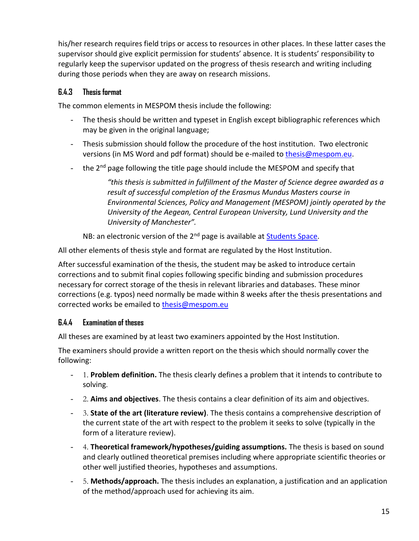his/her research requires field trips or access to resources in other places. In these latter cases the supervisor should give explicit permission for students' absence. It is students' responsibility to regularly keep the supervisor updated on the progress of thesis research and writing including during those periods when they are away on research missions.

#### <span id="page-14-0"></span>**6.4.3 Thesis format**

The common elements in MESPOM thesis include the following:

- The thesis should be written and typeset in English except bibliographic references which may be given in the original language;
- Thesis submission should follow the procedure of the host institution. Two electronic versions (in MS Word and pdf format) should be e-mailed to [thesis@mespom.eu.](mailto:coordinator@mespom.eu)
- the  $2^{nd}$  page following the title page should include the MESPOM and specify that

*"this thesis is submitted in fulfillment of the Master of Science degree awarded as a result of successful completion of the Erasmus Mundus Masters course in Environmental Sciences, Policy and Management (MESPOM) jointly operated by the University of the Aegean, Central European University, Lund University and the University of Manchester".*

NB: an electronic version of the 2<sup>nd</sup> page is available at [Students Space.](http://students.mespom.eu/)

All other elements of thesis style and format are regulated by the Host Institution.

After successful examination of the thesis, the student may be asked to introduce certain corrections and to submit final copies following specific binding and submission procedures necessary for correct storage of the thesis in relevant libraries and databases. These minor corrections (e.g. typos) need normally be made within 8 weeks after the thesis presentations and corrected works be emailed to [thesis@mespom.eu](mailto:thesis@mespom.eu)

#### <span id="page-14-1"></span>**6.4.4 Examination of theses**

All theses are examined by at least two examiners appointed by the Host Institution.

The examiners should provide a written report on the thesis which should normally cover the following:

- 1. **Problem definition.** The thesis clearly defines a problem that it intends to contribute to solving.
- 2. **Aims and objectives**. The thesis contains a clear definition of its aim and objectives.
- 3. **State of the art (literature review)**. The thesis contains a comprehensive description of the current state of the art with respect to the problem it seeks to solve (typically in the form of a literature review).
- 4. **Theoretical framework/hypotheses/guiding assumptions.** The thesis is based on sound and clearly outlined theoretical premises including where appropriate scientific theories or other well justified theories, hypotheses and assumptions.
- 5. **Methods/approach.** The thesis includes an explanation, a justification and an application of the method/approach used for achieving its aim.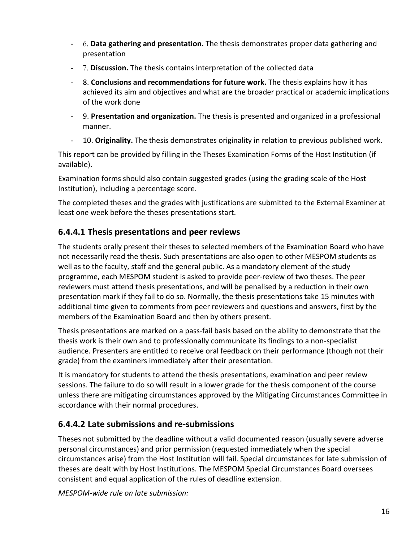- 6. **Data gathering and presentation.** The thesis demonstrates proper data gathering and presentation
- 7. **Discussion.** The thesis contains interpretation of the collected data
- 8. **Conclusions and recommendations for future work.** The thesis explains how it has achieved its aim and objectives and what are the broader practical or academic implications of the work done
- 9. **Presentation and organization.** The thesis is presented and organized in a professional manner.
- 10. **Originality.** The thesis demonstrates originality in relation to previous published work.

This report can be provided by filling in the Theses Examination Forms of the Host Institution (if available).

Examination forms should also contain suggested grades (using the grading scale of the Host Institution), including a percentage score.

The completed theses and the grades with justifications are submitted to the External Examiner at least one week before the theses presentations start.

#### **6.4.4.1 Thesis presentations and peer reviews**

The students orally present their theses to selected members of the Examination Board who have not necessarily read the thesis. Such presentations are also open to other MESPOM students as well as to the faculty, staff and the general public. As a mandatory element of the study programme, each MESPOM student is asked to provide peer-review of two theses. The peer reviewers must attend thesis presentations, and will be penalised by a reduction in their own presentation mark if they fail to do so. Normally, the thesis presentations take 15 minutes with additional time given to comments from peer reviewers and questions and answers, first by the members of the Examination Board and then by others present.

Thesis presentations are marked on a pass-fail basis based on the ability to demonstrate that the thesis work is their own and to professionally communicate its findings to a non-specialist audience. Presenters are entitled to receive oral feedback on their performance (though not their grade) from the examiners immediately after their presentation.

It is mandatory for students to attend the thesis presentations, examination and peer review sessions. The failure to do so will result in a lower grade for the thesis component of the course unless there are mitigating circumstances approved by the Mitigating Circumstances Committee in accordance with their normal procedures.

#### **6.4.4.2 Late submissions and re-submissions**

Theses not submitted by the deadline without a valid documented reason (usually severe adverse personal circumstances) and prior permission (requested immediately when the special circumstances arise) from the Host Institution will fail. Special circumstances for late submission of theses are dealt with by Host Institutions. The MESPOM Special Circumstances Board oversees consistent and equal application of the rules of deadline extension.

*MESPOM-wide rule on late submission:*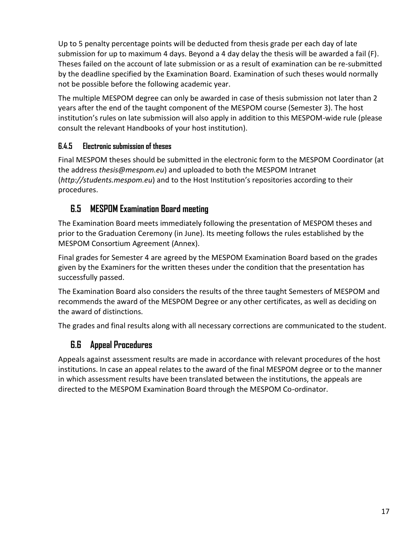Up to 5 penalty percentage points will be deducted from thesis grade per each day of late submission for up to maximum 4 days. Beyond a 4 day delay the thesis will be awarded a fail (F). Theses failed on the account of late submission or as a result of examination can be re-submitted by the deadline specified by the Examination Board. Examination of such theses would normally not be possible before the following academic year.

The multiple MESPOM degree can only be awarded in case of thesis submission not later than 2 years after the end of the taught component of the MESPOM course (Semester 3). The host institution's rules on late submission will also apply in addition to this MESPOM-wide rule (please consult the relevant Handbooks of your host institution).

#### <span id="page-16-0"></span>**6.4.5 Electronic submission of theses**

Final MESPOM theses should be submitted in the electronic form to the MESPOM Coordinator (at the address *thesis@mespom.eu*) and uploaded to both the MESPOM Intranet (*http://students.mespom.eu*) and to the Host Institution's repositories according to their procedures.

### <span id="page-16-1"></span>**6.5 MESPOM Examination Board meeting**

The Examination Board meets immediately following the presentation of MESPOM theses and prior to the Graduation Ceremony (in June). Its meeting follows the rules established by the MESPOM Consortium Agreement (Annex).

Final grades for Semester 4 are agreed by the MESPOM Examination Board based on the grades given by the Examiners for the written theses under the condition that the presentation has successfully passed.

The Examination Board also considers the results of the three taught Semesters of MESPOM and recommends the award of the MESPOM Degree or any other certificates, as well as deciding on the award of distinctions.

<span id="page-16-2"></span>The grades and final results along with all necessary corrections are communicated to the student.

### **6.6 Appeal Procedures**

Appeals against assessment results are made in accordance with relevant procedures of the host institutions. In case an appeal relates to the award of the final MESPOM degree or to the manner in which assessment results have been translated between the institutions, the appeals are directed to the MESPOM Examination Board through the MESPOM Co-ordinator.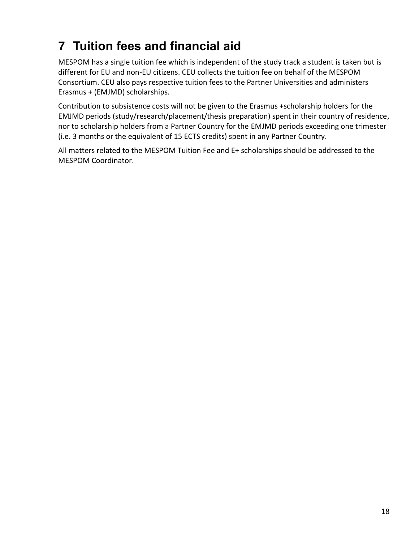## <span id="page-17-0"></span>**7 Tuition fees and financial aid**

MESPOM has a single tuition fee which is independent of the study track a student is taken but is different for EU and non-EU citizens. CEU collects the tuition fee on behalf of the MESPOM Consortium. CEU also pays respective tuition fees to the Partner Universities and administers Erasmus + (EMJMD) scholarships.

Contribution to subsistence costs will not be given to the Erasmus +scholarship holders for the EMJMD periods (study/research/placement/thesis preparation) spent in their country of residence, nor to scholarship holders from a Partner Country for the EMJMD periods exceeding one trimester (i.e. 3 months or the equivalent of 15 ECTS credits) spent in any Partner Country.

All matters related to the MESPOM Tuition Fee and E+ scholarships should be addressed to the MESPOM Coordinator.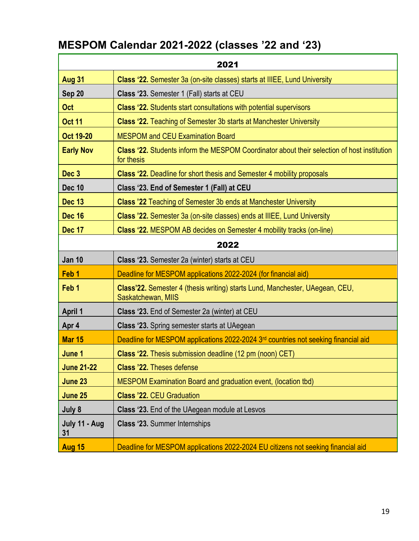## <span id="page-18-0"></span>**MESPOM Calendar 2021-2022 (classes '22 and '23)**

| 2021                                                                                                                                 |                                                                                                    |  |  |  |  |
|--------------------------------------------------------------------------------------------------------------------------------------|----------------------------------------------------------------------------------------------------|--|--|--|--|
| <b>Aug 31</b>                                                                                                                        | Class '22. Semester 3a (on-site classes) starts at IIIEE, Lund University                          |  |  |  |  |
| Sep 20<br><b>Class '23.</b> Semester 1 (Fall) starts at CEU                                                                          |                                                                                                    |  |  |  |  |
| <b>Oct</b><br><b>Class '22.</b> Students start consultations with potential supervisors                                              |                                                                                                    |  |  |  |  |
| <b>Oct 11</b>                                                                                                                        | <b>Class '22.</b> Teaching of Semester 3b starts at Manchester University                          |  |  |  |  |
| <b>Oct 19-20</b>                                                                                                                     | <b>MESPOM and CEU Examination Board</b>                                                            |  |  |  |  |
| <b>Early Nov</b><br><b>Class '22.</b> Students inform the MESPOM Coordinator about their selection of host institution<br>for thesis |                                                                                                    |  |  |  |  |
| Dec <sub>3</sub>                                                                                                                     | <b>Class '22.</b> Deadline for short thesis and Semester 4 mobility proposals                      |  |  |  |  |
| <b>Dec 10</b>                                                                                                                        | Class '23. End of Semester 1 (Fall) at CEU                                                         |  |  |  |  |
| <b>Dec 13</b>                                                                                                                        | <b>Class '22 Teaching of Semester 3b ends at Manchester University</b>                             |  |  |  |  |
| <b>Dec 16</b>                                                                                                                        | <b>Class '22.</b> Semester 3a (on-site classes) ends at IIIEE, Lund University                     |  |  |  |  |
| <b>Dec 17</b>                                                                                                                        | <b>Class '22. MESPOM AB decides on Semester 4 mobility tracks (on-line)</b>                        |  |  |  |  |
|                                                                                                                                      | 2022                                                                                               |  |  |  |  |
| <b>Jan 10</b>                                                                                                                        | Class '23. Semester 2a (winter) starts at CEU                                                      |  |  |  |  |
| Feb <sub>1</sub>                                                                                                                     | Deadline for MESPOM applications 2022-2024 (for financial aid)                                     |  |  |  |  |
| Feb <sub>1</sub>                                                                                                                     | Class'22. Semester 4 (thesis writing) starts Lund, Manchester, UAegean, CEU,<br>Saskatchewan, MIIS |  |  |  |  |
| <b>April 1</b>                                                                                                                       | Class '23. End of Semester 2a (winter) at CEU                                                      |  |  |  |  |
| Apr 4                                                                                                                                | <b>Class '23.</b> Spring semester starts at UAegean                                                |  |  |  |  |
| <b>Mar 15</b>                                                                                                                        | Deadline for MESPOM applications 2022-2024 3rd countries not seeking financial aid                 |  |  |  |  |
| June 1                                                                                                                               | <b>Class '22.</b> Thesis submission deadline (12 pm (noon) CET)                                    |  |  |  |  |
| <b>June 21-22</b>                                                                                                                    | <b>Class '22. Theses defense</b>                                                                   |  |  |  |  |
| June 23                                                                                                                              | MESPOM Examination Board and graduation event, (location tbd)                                      |  |  |  |  |
| June 25<br><b>Class '22. CEU Graduation</b>                                                                                          |                                                                                                    |  |  |  |  |
| July 8<br>Class '23. End of the UAegean module at Lesvos                                                                             |                                                                                                    |  |  |  |  |
| July 11 - Aug<br>31                                                                                                                  | <b>Class '23. Summer Internships</b>                                                               |  |  |  |  |
| Aug 15                                                                                                                               | Deadline for MESPOM applications 2022-2024 EU citizens not seeking financial aid                   |  |  |  |  |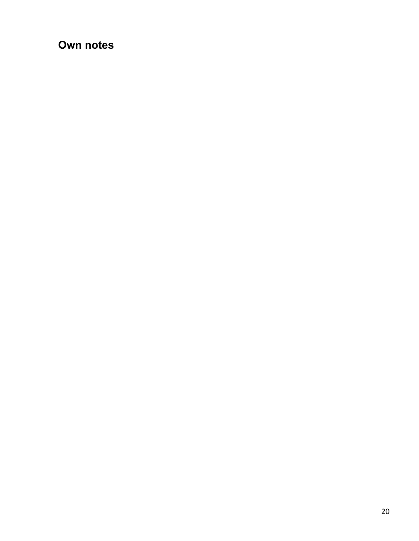### <span id="page-19-0"></span>**Own notes**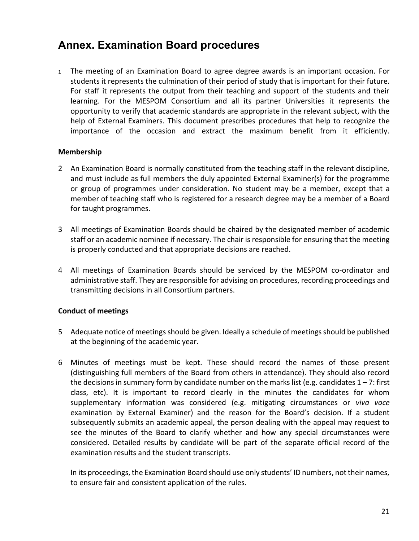### <span id="page-20-0"></span>**Annex. Examination Board procedures**

<sup>1</sup> The meeting of an Examination Board to agree degree awards is an important occasion. For students it represents the culmination of their period of study that is important for their future. For staff it represents the output from their teaching and support of the students and their learning. For the MESPOM Consortium and all its partner Universities it represents the opportunity to verify that academic standards are appropriate in the relevant subject, with the help of External Examiners. This document prescribes procedures that help to recognize the importance of the occasion and extract the maximum benefit from it efficiently.

#### **Membership**

- 2 An Examination Board is normally constituted from the teaching staff in the relevant discipline, and must include as full members the duly appointed External Examiner(s) for the programme or group of programmes under consideration. No student may be a member, except that a member of teaching staff who is registered for a research degree may be a member of a Board for taught programmes.
- 3 All meetings of Examination Boards should be chaired by the designated member of academic staff or an academic nominee if necessary. The chair is responsible for ensuring that the meeting is properly conducted and that appropriate decisions are reached.
- 4 All meetings of Examination Boards should be serviced by the MESPOM co-ordinator and administrative staff. They are responsible for advising on procedures, recording proceedings and transmitting decisions in all Consortium partners.

#### **Conduct of meetings**

- 5 Adequate notice of meetings should be given. Ideally a schedule of meetings should be published at the beginning of the academic year.
- 6 Minutes of meetings must be kept. These should record the names of those present (distinguishing full members of the Board from others in attendance). They should also record the decisions in summary form by candidate number on the marks list (e.g. candidates  $1 - 7$ : first class, etc). It is important to record clearly in the minutes the candidates for whom supplementary information was considered (e.g. mitigating circumstances or *viva voce* examination by External Examiner) and the reason for the Board's decision. If a student subsequently submits an academic appeal, the person dealing with the appeal may request to see the minutes of the Board to clarify whether and how any special circumstances were considered. Detailed results by candidate will be part of the separate official record of the examination results and the student transcripts.

In its proceedings, the Examination Board should use only students' ID numbers, not their names, to ensure fair and consistent application of the rules.